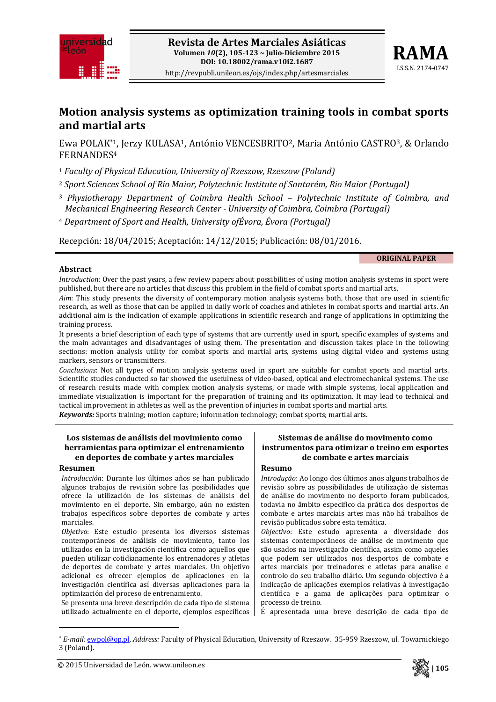



# **Motion analysis systems as optimization training tools in combat sports and martial arts**

Ewa POLAK\*1, Jerzy KULASA1, António VENCESBRITO2, Maria António CASTRO3, & Orlando FERNANDES4

<sup>1</sup> *Faculty of Physical Education, University of Rzeszow, Rzeszow (Poland)*

<sup>2</sup> *Sport Sciences School of Rio Maior, Polytechnic Institute of Santarém, Rio Maior (Portugal)*

- <sup>3</sup> *Physiotherapy Department of Coimbra Health School – Polytechnic Institute of Coimbra, and Mechanical Engineering Research Center University of Coimbra, Coimbra (Portugal)*
- <sup>4</sup> *Department of Sport and Health, University ofÉvora, Évora (Portugal)*

Recepción: 18/04/2015; Aceptación: 14/12/2015; Publicación: 08/01/2016.

#### **ORIGINAL PAPER**

### **Abstract**

*Introduction*: Over the past years, a few review papers about possibilities of using motion analysis systems in sport were published, but there are no articles that discuss this problem in the field of combat sports and martial arts.

*Aim*: This study presents the diversity of contemporary motion analysis systems both, those that are used in scientific research, as well as those that can be applied in daily work of coaches and athletes in combat sports and martial arts. An additional aim is the indication of example applications in scientific research and range of applications in optimizing the training process.

It presents a brief description of each type of systems that are currently used in sport, specific examples of systems and the main advantages and disadvantages of using them. The presentation and discussion takes place in the following sections: motion analysis utility for combat sports and martial arts, systems using digital video and systems using markers, sensors or transmitters.

*Conclusions*: Not all types of motion analysis systems used in sport are suitable for combat sports and martial arts. Scientific studies conducted so far showed the usefulness of video‐based, optical and electromechanical systems. The use of research results made with complex motion analysis systems, or made with simple systems, local application and immediate visualization is important for the preparation of training and its optimization. It may lead to technical and tactical improvement in athletes as well as the prevention of injuries in combat sports and martial arts.

*Keywords:* Sports training; motion capture; information technology; combat sports; martial arts.

### **Los sistemas de análisis del movimiento como herramientas para optimizar el entrenamiento en deportes de combate y artes marciales**

#### **Resumen**

*Introducción*: Durante los últimos años se han publicado algunos trabajos de revisión sobre las posibilidades que ofrece la utilización de los sistemas de análisis del movimiento en el deporte. Sin embargo, aún no existen trabajos específicos sobre deportes de combate y artes marciales.

*Objetivo*: Este estudio presenta los diversos sistemas contemporáneos de análisis de movimiento, tanto los utilizados en la investigación científica como aquellos que pueden utilizar cotidianamente los entrenadores y atletas de deportes de combate y artes marciales. Un objetivo adicional es ofrecer ejemplos de aplicaciones en la investigación científica así diversas aplicaciones para la optimización del proceso de entrenamiento.

Se presenta una breve descripción de cada tipo de sistema utilizado actualmente en el deporte, ejemplos específicos

### **Sistemas de análise do movimento como instrumentos para otimizar o treino em esportes de combate e artes marciais**

### **Resumo**

*Introdução*: Ao longo dos últimos anos alguns trabalhos de revisão sobre as possibilidades de utilização de sistemas de análise do movimento no desporto foram publicados, todavia no âmbito especifico da prática dos desportos de combate e artes marciais artes mas não há trabalhos de revisão publicados sobre esta temática.

*Objectivo*: Este estudo apresenta a diversidade dos sistemas contemporâneos de análise de movimento que são usados na investigação científica, assim como aqueles que podem ser utilizados nos desportos de combate e artes marciais por treinadores e atletas para analise e controlo do seu trabalho diário. Um segundo objectivo é a indicação de aplicações exemplos relativas à investigação científica e a gama de aplicações para optimizar o processo de treino.

É apresentada uma breve descrição de cada tipo de



<sup>\*</sup> *Email:* ewpol@op.pl. *Address:* Faculty of Physical Education, University of Rzeszow. 35‐959 Rzeszow, ul. Towarnickiego 3 (Poland).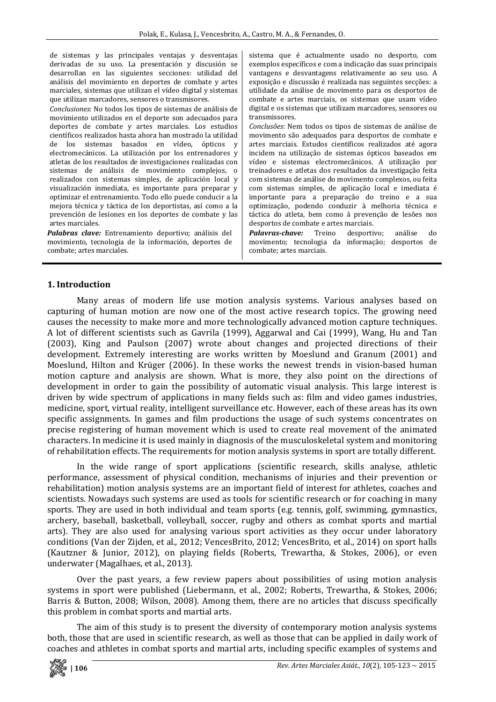de sistemas y las principales ventajas y desventajas derivadas de su uso. La presentación y discusión se desarrollan en las siguientes secciones: utilidad del análisis del movimiento en deportes de combate y artes marciales, sistemas que utilizan el vídeo digital y sistemas que utilizan marcadores, sensores o transmisores.

*Conclusiones*: No todos los tipos de sistemas de análisis de movimiento utilizados en el deporte son adecuados para deportes de combate y artes marciales. Los estudios científicos realizados hasta ahora han mostrado la utilidad de los sistemas basados en vídeo, ópticos y electromecánicos. La utilización por los entrenadores y atletas de los resultados de investigaciones realizadas con sistemas de análisis de movimiento complejos, o realizados con sistemas simples, de aplicación local y visualización inmediata, es importante para preparar y optimizar el entrenamiento. Todo ello puede conducir a la mejora técnica y táctica de los deportistas, así como a la prevención de lesiones en los deportes de combate y las artes marciales.

*Palabras clave:* Entrenamiento deportivo; análisis del movimiento, tecnologia de la información, deportes de combate; artes marciales.

sistema que é actualmente usado no desporto, com exemplos específicos e com a indicação das suas principais vantagens e desvantagens relativamente ao seu uso. A exposição e discussão é realizada nas seguintes secções: a utilidade da análise de movimento para os desportos de combate e artes marciais, os sistemas que usam vídeo digital e os sistemas que utilizam marcadores, sensores ou transmissores.

*Conclusões*: Nem todos os tipos de sistemas de análise de movimento são adequados para desportos de combate e artes marciais. Estudos científicos realizados até agora incidem na utilização de sistemas ópticos baseados em vídeo e sistemas electromecânicos. A utilização por treinadores e atletas dos resultados da investigação feita com sistemas de análise do movimento complexos, ou feita com sistemas simples, de aplicação local e imediata é importante para a preparação do treino e a sua optimização, podendo conduzir à melhoria técnica e táctica do atleta, bem como à prevenção de lesões nos desportos de combate e artes marciais.

*Palavraschave:* Treino desportivo; análise do movimento; tecnologia da informação; desportos de combate; artes marciais.

## **1. Introduction**

Many areas of modern life use motion analysis systems. Various analyses based on capturing of human motion are now one of the most active research topics. The growing need causes the necessity to make more and more technologically advanced motion capture techniques. A lot of different scientists such as Gavrila (1999), Aggarwal and Cai (1999), Wang, Hu and Tan (2003), King and Paulson (2007) wrote about changes and projected directions of their development. Extremely interesting are works written by Moeslund and Granum (2001) and Moeslund, Hilton and Krüger (2006). In these works the newest trends in vision-based human motion capture and analysis are shown. What is more, they also point on the directions of development in order to gain the possibility of automatic visual analysis. This large interest is driven by wide spectrum of applications in many fields such as: film and video games industries, medicine, sport, virtual reality, intelligent surveillance etc. However, each of these areas has its own specific assignments. In games and film productions the usage of such systems concentrates on precise registering of human movement which is used to create real movement of the animated characters. In medicine it is used mainly in diagnosis of the musculoskeletal system and monitoring of rehabilitation effects. The requirements for motion analysis systems in sport are totally different.

In the wide range of sport applications (scientific research, skills analyse, athletic performance, assessment of physical condition, mechanisms of injuries and their prevention or rehabilitation) motion analysis systems are an important field of interest for athletes, coaches and scientists. Nowadays such systems are used as tools for scientific research or for coaching in many sports. They are used in both individual and team sports (e.g. tennis, golf, swimming, gymnastics, archery, baseball, basketball, volleyball, soccer, rugby and others as combat sports and martial arts). They are also used for analysing various sport activities as they occur under laboratory conditions (Van der Zijden, et al., 2012; VencesBrito, 2012; VencesBrito, et al., 2014) on sport halls (Kautzner & Junior, 2012), on playing fields (Roberts, Trewartha, & Stokes, 2006), or even underwater (Magalhaes, et al., 2013).

Over the past years, a few review papers about possibilities of using motion analysis systems in sport were published (Liebermann, et al., 2002; Roberts, Trewartha, & Stokes, 2006; Barris & Button, 2008; Wilson, 2008). Among them, there are no articles that discuss specifically this problem in combat sports and martial arts.

The aim of this study is to present the diversity of contemporary motion analysis systems both, those that are used in scientific research, as well as those that can be applied in daily work of coaches and athletes in combat sports and martial arts, including specific examples of systems and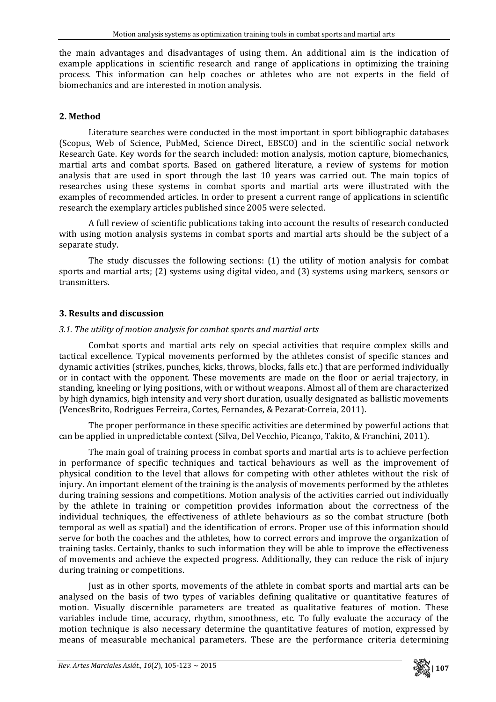the main advantages and disadvantages of using them. An additional aim is the indication of example applications in scientific research and range of applications in optimizing the training process. This information can help coaches or athletes who are not experts in the field of biomechanics and are interested in motion analysis.

# **2. Method**

Literature searches were conducted in the most important in sport bibliographic databases (Scopus, Web of Science, PubMed, Science Direct, EBSCO) and in the scientific social network Research Gate. Key words for the search included: motion analysis, motion capture, biomechanics, martial arts and combat sports. Based on gathered literature, a review of systems for motion analysis that are used in sport through the last 10 years was carried out. The main topics of researches using these systems in combat sports and martial arts were illustrated with the examples of recommended articles. In order to present a current range of applications in scientific research the exemplary articles published since 2005 were selected.

A full review of scientific publications taking into account the results of research conducted with using motion analysis systems in combat sports and martial arts should be the subject of a separate study.

The study discusses the following sections: (1) the utility of motion analysis for combat sports and martial arts; (2) systems using digital video, and (3) systems using markers, sensors or transmitters.

# **3. Results and discussion**

# *3.1. The utility of motion analysis for combat sports and martial arts*

Combat sports and martial arts rely on special activities that require complex skills and tactical excellence. Typical movements performed by the athletes consist of specific stances and dynamic activities (strikes, punches, kicks, throws, blocks, falls etc.) that are performed individually or in contact with the opponent. These movements are made on the floor or aerial trajectory, in standing, kneeling or lying positions, with or without weapons. Almost all of them are characterized by high dynamics, high intensity and very short duration, usually designated as ballistic movements (VencesBrito, Rodrigues Ferreira, Cortes, Fernandes, & Pezarat‐Correia, 2011).

The proper performance in these specific activities are determined by powerful actions that can be applied in unpredictable context (Silva, Del Vecchio, Picanço, Takito, & Franchini, 2011).

The main goal of training process in combat sports and martial arts is to achieve perfection in performance of specific techniques and tactical behaviours as well as the improvement of physical condition to the level that allows for competing with other athletes without the risk of injury. An important element of the training is the analysis of movements performed by the athletes during training sessions and competitions. Motion analysis of the activities carried out individually by the athlete in training or competition provides information about the correctness of the individual techniques, the effectiveness of athlete behaviours as so the combat structure (both temporal as well as spatial) and the identification of errors. Proper use of this information should serve for both the coaches and the athletes, how to correct errors and improve the organization of training tasks. Certainly, thanks to such information they will be able to improve the effectiveness of movements and achieve the expected progress. Additionally, they can reduce the risk of injury during training or competitions.

Just as in other sports, movements of the athlete in combat sports and martial arts can be analysed on the basis of two types of variables defining qualitative or quantitative features of motion. Visually discernible parameters are treated as qualitative features of motion. These variables include time, accuracy, rhythm, smoothness, etc. To fully evaluate the accuracy of the motion technique is also necessary determine the quantitative features of motion, expressed by means of measurable mechanical parameters. These are the performance criteria determining

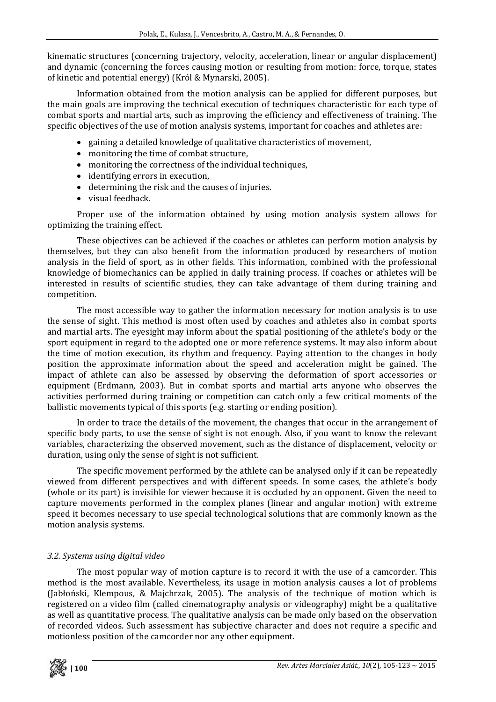kinematic structures (concerning trajectory, velocity, acceleration, linear or angular displacement) and dynamic (concerning the forces causing motion or resulting from motion: force, torque, states of kinetic and potential energy) (Król & Mynarski, 2005).

Information obtained from the motion analysis can be applied for different purposes, but the main goals are improving the technical execution of techniques characteristic for each type of combat sports and martial arts, such as improving the efficiency and effectiveness of training. The specific objectives of the use of motion analysis systems, important for coaches and athletes are:

- gaining a detailed knowledge of qualitative characteristics of movement,
- monitoring the time of combat structure,
- monitoring the correctness of the individual techniques,
- identifying errors in execution,
- determining the risk and the causes of injuries.
- visual feedback.

Proper use of the information obtained by using motion analysis system allows for optimizing the training effect.

These objectives can be achieved if the coaches or athletes can perform motion analysis by themselves, but they can also benefit from the information produced by researchers of motion analysis in the field of sport, as in other fields. This information, combined with the professional knowledge of biomechanics can be applied in daily training process. If coaches or athletes will be interested in results of scientific studies, they can take advantage of them during training and competition.

The most accessible way to gather the information necessary for motion analysis is to use the sense of sight. This method is most often used by coaches and athletes also in combat sports and martial arts. The eyesight may inform about the spatial positioning of the athlete's body or the sport equipment in regard to the adopted one or more reference systems. It may also inform about the time of motion execution, its rhythm and frequency. Paying attention to the changes in body position the approximate information about the speed and acceleration might be gained. The impact of athlete can also be assessed by observing the deformation of sport accessories or equipment (Erdmann, 2003). But in combat sports and martial arts anyone who observes the activities performed during training or competition can catch only a few critical moments of the ballistic movements typical of this sports (e.g. starting or ending position).

In order to trace the details of the movement, the changes that occur in the arrangement of specific body parts, to use the sense of sight is not enough. Also, if you want to know the relevant variables, characterizing the observed movement, such as the distance of displacement, velocity or duration, using only the sense of sight is not sufficient.

The specific movement performed by the athlete can be analysed only if it can be repeatedly viewed from different perspectives and with different speeds. In some cases, the athlete's body (whole or its part) is invisible for viewer because it is occluded by an opponent. Given the need to capture movements performed in the complex planes (linear and angular motion) with extreme speed it becomes necessary to use special technological solutions that are commonly known as the motion analysis systems.

# *3.2. Systems using digital video*

The most popular way of motion capture is to record it with the use of a camcorder. This method is the most available. Nevertheless, its usage in motion analysis causes a lot of problems (Jabłoński, Klempous, & Majchrzak, 2005). The analysis of the technique of motion which is registered on a video film (called cinematography analysis or videography) might be a qualitative as well as quantitative process. The qualitative analysis can be made only based on the observation of recorded videos. Such assessment has subjective character and does not require a specific and motionless position of the camcorder nor any other equipment.

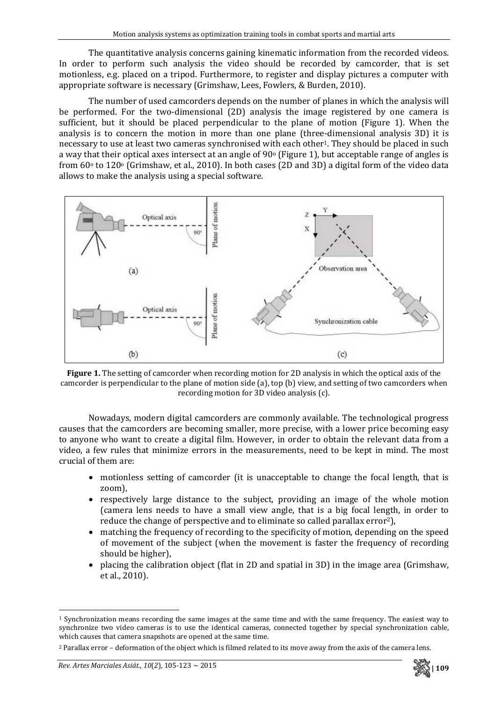The quantitative analysis concerns gaining kinematic information from the recorded videos. In order to perform such analysis the video should be recorded by camcorder, that is set motionless, e.g. placed on a tripod. Furthermore, to register and display pictures a computer with appropriate software is necessary (Grimshaw, Lees, Fowlers, & Burden, 2010).

The number of used camcorders depends on the number of planes in which the analysis will be performed. For the two-dimensional (2D) analysis the image registered by one camera is sufficient, but it should be placed perpendicular to the plane of motion (Figure 1). When the analysis is to concern the motion in more than one plane (three-dimensional analysis 3D) it is necessary to use at least two cameras synchronised with each other<sup>1</sup>. They should be placed in such a way that their optical axes intersect at an angle of  $90^{\circ}$  (Figure 1), but acceptable range of angles is from  $60^\circ$  to  $120^\circ$  (Grimshaw, et al., 2010). In both cases (2D and 3D) a digital form of the video data allows to make the analysis using a special software.



**Figure 1.** The setting of camcorder when recording motion for 2D analysis in which the optical axis of the camcorder is perpendicular to the plane of motion side (a), top (b) view, and setting of two camcorders when recording motion for 3D video analysis (c).

Nowadays, modern digital camcorders are commonly available. The technological progress causes that the camcorders are becoming smaller, more precise, with a lower price becoming easy to anyone who want to create a digital film. However, in order to obtain the relevant data from a video, a few rules that minimize errors in the measurements, need to be kept in mind. The most crucial of them are:

- motionless setting of camcorder (it is unacceptable to change the focal length, that is zoom),
- respectively large distance to the subject, providing an image of the whole motion (camera lens needs to have a small view angle, that is a big focal length, in order to reduce the change of perspective and to eliminate so called parallax error<sup>2</sup>),
- matching the frequency of recording to the specificity of motion, depending on the speed of movement of the subject (when the movement is faster the frequency of recording should be higher),
- placing the calibration object (flat in 2D and spatial in 3D) in the image area (Grimshaw, et al., 2010).



 $1$  Synchronization means recording the same images at the same time and with the same frequency. The easiest way to synchronize two video cameras is to use the identical cameras, connected together by special synchronization cable, which causes that camera snapshots are opened at the same time.

<sup>2</sup> Parallax error – deformation of the object which is filmed related to its move away from the axis of the camera lens.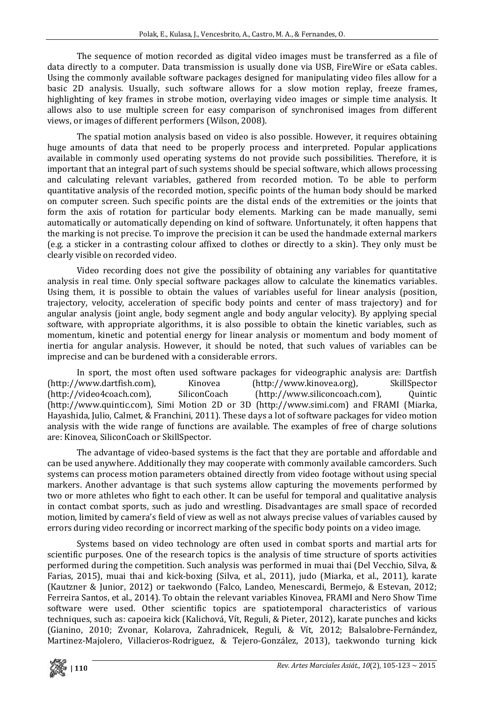The sequence of motion recorded as digital video images must be transferred as a file of data directly to a computer. Data transmission is usually done via USB, FireWire or eSata cables. Using the commonly available software packages designed for manipulating video files allow for a basic 2D analysis. Usually, such software allows for a slow motion replay, freeze frames, highlighting of key frames in strobe motion, overlaying video images or simple time analysis. It allows also to use multiple screen for easy comparison of synchronised images from different views, or images of different performers (Wilson, 2008).

The spatial motion analysis based on video is also possible. However, it requires obtaining huge amounts of data that need to be properly process and interpreted. Popular applications available in commonly used operating systems do not provide such possibilities. Therefore, it is important that an integral part of such systems should be special software, which allows processing and calculating relevant variables, gathered from recorded motion. To be able to perform quantitative analysis of the recorded motion, specific points of the human body should be marked on computer screen. Such specific points are the distal ends of the extremities or the joints that form the axis of rotation for particular body elements. Marking can be made manually, semi automatically or automatically depending on kind of software. Unfortunately, it often happens that the marking is not precise. To improve the precision it can be used the handmade external markers (e.g. a sticker in a contrasting colour affixed to clothes or directly to a skin). They only must be clearly visible on recorded video.

Video recording does not give the possibility of obtaining any variables for quantitative analysis in real time. Only special software packages allow to calculate the kinematics variables. Using them, it is possible to obtain the values of variables useful for linear analysis (position, trajectory, velocity, acceleration of specific body points and center of mass trajectory) and for angular analysis (joint angle, body segment angle and body angular velocity). By applying special software, with appropriate algorithms, it is also possible to obtain the kinetic variables, such as momentum, kinetic and potential energy for linear analysis or momentum and body moment of inertia for angular analysis. However, it should be noted, that such values of variables can be imprecise and can be burdened with a considerable errors.

In sport, the most often used software packages for videographic analysis are: Dartfish (http://www.dartfish.com), Kinovea (http://www.kinovea.org), SkillSpector (http://video4coach.com), SiliconCoach (http://www.siliconcoach.com), Quintic (http://www.quintic.com), Simi Motion 2D or 3D (http://www.simi.com) and FRAMI (Miarka, Hayashida, Julio, Calmet, & Franchini, 2011). These days a lot of software packages for video motion analysis with the wide range of functions are available. The examples of free of charge solutions are: Kinovea, SiliconCoach or SkillSpector.

The advantage of video-based systems is the fact that they are portable and affordable and can be used anywhere. Additionally they may cooperate with commonly available camcorders. Such systems can process motion parameters obtained directly from video footage without using special markers. Another advantage is that such systems allow capturing the movements performed by two or more athletes who fight to each other. It can be useful for temporal and qualitative analysis in contact combat sports, such as judo and wrestling. Disadvantages are small space of recorded motion, limited by camera's field of view as well as not always precise values of variables caused by errors during video recording or incorrect marking of the specific body points on a video image.

Systems based on video technology are often used in combat sports and martial arts for scientific purposes. One of the research topics is the analysis of time structure of sports activities performed during the competition. Such analysis was performed in muai thai (Del Vecchio, Silva, & Farias, 2015), muai thai and kick‐boxing (Silva, et al., 2011), judo (Miarka, et al., 2011), karate (Kautzner & Junior, 2012) or taekwondo (Falco, Landeo, Menescardi, Bermejo, & Estevan, 2012; Ferreira Santos, et al., 2014). To obtain the relevant variables Kinovea, FRAMI and Nero Show Time software were used. Other scientific topics are spatiotemporal characteristics of various techniques, such as: capoeira kick (Kalichová, Vít, Reguli, & Pieter, 2012), karate punches and kicks (Gianino, 2010; Zvonar, Kolarova, Zahradnicek, Reguli, & Vít, 2012; Balsalobre‐Fernández, Martinez‐Majolero, Villacieros‐Rodriguez, & Tejero‐González, 2013), taekwondo turning kick

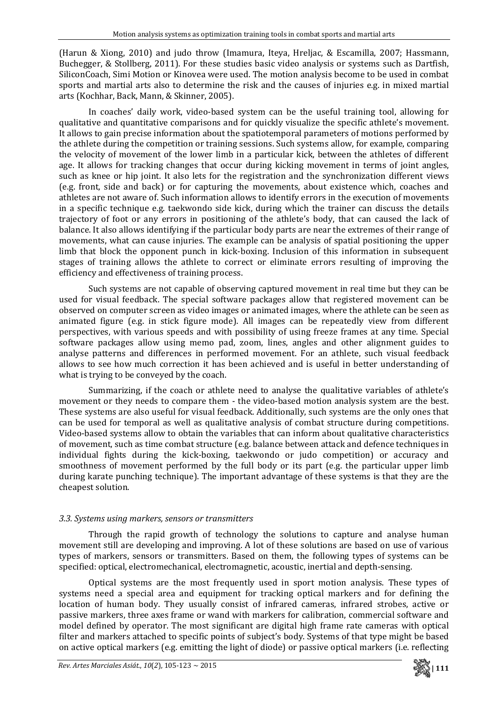(Harun & Xiong, 2010) and judo throw (Imamura, Iteya, Hreljac, & Escamilla, 2007; Hassmann, Buchegger, & Stollberg, 2011). For these studies basic video analysis or systems such as Dartfish, SiliconCoach, Simi Motion or Kinovea were used. The motion analysis become to be used in combat sports and martial arts also to determine the risk and the causes of injuries e.g. in mixed martial arts (Kochhar, Back, Mann, & Skinner, 2005).

In coaches' daily work, video-based system can be the useful training tool, allowing for qualitative and quantitative comparisons and for quickly visualize the specific athlete's movement. It allows to gain precise information about the spatiotemporal parameters of motions performed by the athlete during the competition or training sessions. Such systems allow, for example, comparing the velocity of movement of the lower limb in a particular kick, between the athletes of different age. It allows for tracking changes that occur during kicking movement in terms of joint angles, such as knee or hip joint. It also lets for the registration and the synchronization different views (e.g. front, side and back) or for capturing the movements, about existence which, coaches and athletes are not aware of. Such information allows to identify errors in the execution of movements in a specific technique e.g. taekwondo side kick, during which the trainer can discuss the details trajectory of foot or any errors in positioning of the athlete's body, that can caused the lack of balance. It also allows identifying if the particular body parts are near the extremes of their range of movements, what can cause injuries. The example can be analysis of spatial positioning the upper limb that block the opponent punch in kick-boxing. Inclusion of this information in subsequent stages of training allows the athlete to correct or eliminate errors resulting of improving the efficiency and effectiveness of training process.

Such systems are not capable of observing captured movement in real time but they can be used for visual feedback. The special software packages allow that registered movement can be observed on computer screen as video images or animated images, where the athlete can be seen as animated figure (e.g. in stick figure mode). All images can be repeatedly view from different perspectives, with various speeds and with possibility of using freeze frames at any time. Special software packages allow using memo pad, zoom, lines, angles and other alignment guides to analyse patterns and differences in performed movement. For an athlete, such visual feedback allows to see how much correction it has been achieved and is useful in better understanding of what is trying to be conveyed by the coach.

Summarizing, if the coach or athlete need to analyse the qualitative variables of athlete's movement or they needs to compare them - the video-based motion analysis system are the best. These systems are also useful for visual feedback. Additionally, such systems are the only ones that can be used for temporal as well as qualitative analysis of combat structure during competitions. Video-based systems allow to obtain the variables that can inform about qualitative characteristics of movement, such as time combat structure (e.g. balance between attack and defence techniques in individual fights during the kick‐boxing, taekwondo or judo competition) or accuracy and smoothness of movement performed by the full body or its part (e.g. the particular upper limb during karate punching technique). The important advantage of these systems is that they are the cheapest solution.

# *3.3. Systems using markers, sensors or transmitters*

Through the rapid growth of technology the solutions to capture and analyse human movement still are developing and improving. A lot of these solutions are based on use of various types of markers, sensors or transmitters. Based on them, the following types of systems can be specified: optical, electromechanical, electromagnetic, acoustic, inertial and depth-sensing.

Optical systems are the most frequently used in sport motion analysis. These types of systems need a special area and equipment for tracking optical markers and for defining the location of human body. They usually consist of infrared cameras, infrared strobes, active or passive markers, three axes frame or wand with markers for calibration, commercial software and model defined by operator. The most significant are digital high frame rate cameras with optical filter and markers attached to specific points of subject's body. Systems of that type might be based on active optical markers (e.g. emitting the light of diode) or passive optical markers (i.e. reflecting

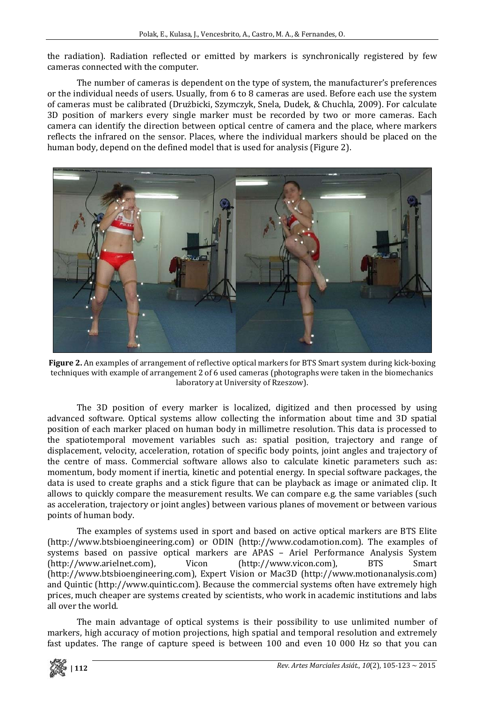the radiation). Radiation reflected or emitted by markers is synchronically registered by few cameras connected with the computer.

The number of cameras is dependent on the type of system, the manufacturer's preferences or the individual needs of users. Usually, from 6 to 8 cameras are used. Before each use the system of cameras must be calibrated (Drużbicki, Szymczyk, Snela, Dudek, & Chuchla, 2009). For calculate 3D position of markers every single marker must be recorded by two or more cameras. Each camera can identify the direction between optical centre of camera and the place, where markers reflects the infrared on the sensor. Places, where the individual markers should be placed on the human body, depend on the defined model that is used for analysis (Figure 2).



**Figure 2.** An examples of arrangement of reflective optical markers for BTS Smart system during kick‐boxing techniques with example of arrangement 2 of 6 used cameras (photographs were taken in the biomechanics laboratory at University of Rzeszow).

The 3D position of every marker is localized, digitized and then processed by using advanced software. Optical systems allow collecting the information about time and 3D spatial position of each marker placed on human body in millimetre resolution. This data is processed to the spatiotemporal movement variables such as: spatial position, trajectory and range of displacement, velocity, acceleration, rotation of specific body points, joint angles and trajectory of the centre of mass. Commercial software allows also to calculate kinetic parameters such as: momentum, body moment if inertia, kinetic and potential energy. In special software packages, the data is used to create graphs and a stick figure that can be playback as image or animated clip. It allows to quickly compare the measurement results. We can compare e.g. the same variables (such as acceleration, trajectory or joint angles) between various planes of movement or between various points of human body.

The examples of systems used in sport and based on active optical markers are BTS Elite (http://www.btsbioengineering.com) or ODIN (http://www.codamotion.com). The examples of systems based on passive optical markers are APAS – Ariel Performance Analysis System (http://www.arielnet.com), Vicon (http://www.vicon.com), BTS Smart (http://www.btsbioengineering.com), Expert Vision or Mac3D (http://www.motionanalysis.com) and Quintic (http://www.quintic.com). Because the commercial systems often have extremely high prices, much cheaper are systems created by scientists, who work in academic institutions and labs all over the world.

The main advantage of optical systems is their possibility to use unlimited number of markers, high accuracy of motion projections, high spatial and temporal resolution and extremely fast updates. The range of capture speed is between 100 and even 10 000 Hz so that you can

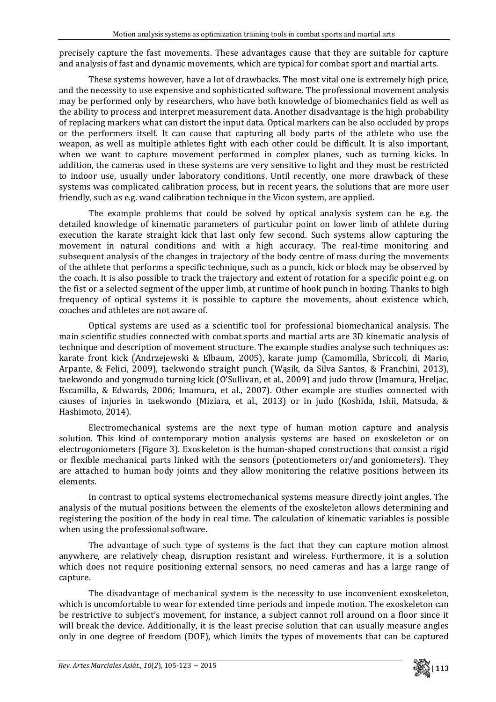precisely capture the fast movements. These advantages cause that they are suitable for capture and analysis of fast and dynamic movements, which are typical for combat sport and martial arts.

These systems however, have a lot of drawbacks. The most vital one is extremely high price, and the necessity to use expensive and sophisticated software. The professional movement analysis may be performed only by researchers, who have both knowledge of biomechanics field as well as the ability to process and interpret measurement data. Another disadvantage is the high probability of replacing markers what can distort the input data. Optical markers can be also occluded by props or the performers itself. It can cause that capturing all body parts of the athlete who use the weapon, as well as multiple athletes fight with each other could be difficult. It is also important, when we want to capture movement performed in complex planes, such as turning kicks. In addition, the cameras used in these systems are very sensitive to light and they must be restricted to indoor use, usually under laboratory conditions. Until recently, one more drawback of these systems was complicated calibration process, but in recent years, the solutions that are more user friendly, such as e.g. wand calibration technique in the Vicon system, are applied.

The example problems that could be solved by optical analysis system can be e.g. the detailed knowledge of kinematic parameters of particular point on lower limb of athlete during execution the karate straight kick that last only few second. Such systems allow capturing the movement in natural conditions and with a high accuracy. The real-time monitoring and subsequent analysis of the changes in trajectory of the body centre of mass during the movements of the athlete that performs a specific technique, such as a punch, kick or block may be observed by the coach. It is also possible to track the trajectory and extent of rotation for a specific point e.g. on the fist or a selected segment of the upper limb, at runtime of hook punch in boxing. Thanks to high frequency of optical systems it is possible to capture the movements, about existence which, coaches and athletes are not aware of.

Optical systems are used as a scientific tool for professional biomechanical analysis. The main scientific studies connected with combat sports and martial arts are 3D kinematic analysis of technique and description of movement structure. The example studies analyse such techniques as: karate front kick (Andrzejewski & Elbaum, 2005), karate jump (Camomilla, Sbriccoli, di Mario, Arpante, & Felici, 2009), taekwondo straight punch (Wąsik, da Silva Santos, & Franchini, 2013), taekwondo and yongmudo turning kick (O'Sullivan, et al., 2009) and judo throw (Imamura, Hreljac, Escamilla, & Edwards, 2006; Imamura, et al., 2007). Other example are studies connected with causes of injuries in taekwondo (Miziara, et al., 2013) or in judo (Koshida, Ishii, Matsuda, & Hashimoto, 2014).

Electromechanical systems are the next type of human motion capture and analysis solution. This kind of contemporary motion analysis systems are based on exoskeleton or on electrogoniometers (Figure 3). Exoskeleton is the human‐shaped constructions that consist a rigid or flexible mechanical parts linked with the sensors (potentiometers or/and goniometers). They are attached to human body joints and they allow monitoring the relative positions between its elements.

In contrast to optical systems electromechanical systems measure directly joint angles. The analysis of the mutual positions between the elements of the exoskeleton allows determining and registering the position of the body in real time. The calculation of kinematic variables is possible when using the professional software.

The advantage of such type of systems is the fact that they can capture motion almost anywhere, are relatively cheap, disruption resistant and wireless. Furthermore, it is a solution which does not require positioning external sensors, no need cameras and has a large range of capture.

The disadvantage of mechanical system is the necessity to use inconvenient exoskeleton, which is uncomfortable to wear for extended time periods and impede motion. The exoskeleton can be restrictive to subject's movement, for instance, a subject cannot roll around on a floor since it will break the device. Additionally, it is the least precise solution that can usually measure angles only in one degree of freedom (DOF), which limits the types of movements that can be captured

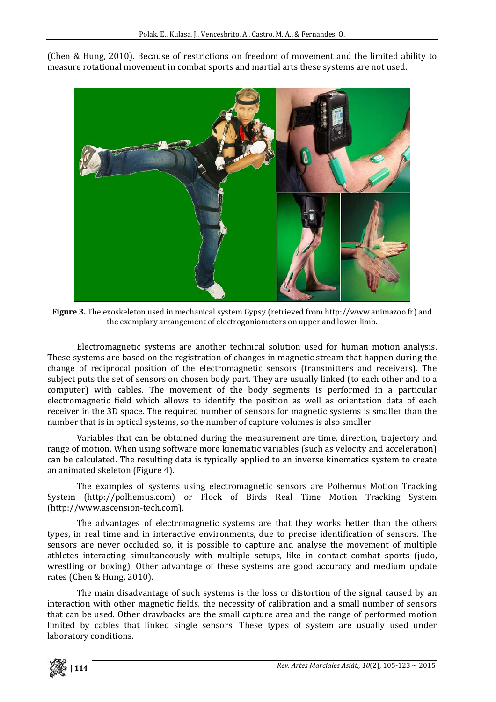(Chen & Hung, 2010). Because of restrictions on freedom of movement and the limited ability to measure rotational movement in combat sports and martial arts these systems are not used.



**Figure 3.** The exoskeleton used in mechanical system Gypsy (retrieved from http://www.animazoo.fr) and the exemplary arrangement of electrogoniometers on upper and lower limb.

Electromagnetic systems are another technical solution used for human motion analysis. These systems are based on the registration of changes in magnetic stream that happen during the change of reciprocal position of the electromagnetic sensors (transmitters and receivers). The subject puts the set of sensors on chosen body part. They are usually linked (to each other and to a computer) with cables. The movement of the body segments is performed in a particular electromagnetic field which allows to identify the position as well as orientation data of each receiver in the 3D space. The required number of sensors for magnetic systems is smaller than the number that is in optical systems, so the number of capture volumes is also smaller.

Variables that can be obtained during the measurement are time, direction, trajectory and range of motion. When using software more kinematic variables (such as velocity and acceleration) can be calculated. The resulting data is typically applied to an inverse kinematics system to create an animated skeleton (Figure 4).

The examples of systems using electromagnetic sensors are Polhemus Motion Tracking System (http://polhemus.com) or Flock of Birds Real Time Motion Tracking System (http://www.ascension‐tech.com).

The advantages of electromagnetic systems are that they works better than the others types, in real time and in interactive environments, due to precise identification of sensors. The sensors are never occluded so, it is possible to capture and analyse the movement of multiple athletes interacting simultaneously with multiple setups, like in contact combat sports (judo, wrestling or boxing). Other advantage of these systems are good accuracy and medium update rates (Chen & Hung, 2010).

The main disadvantage of such systems is the loss or distortion of the signal caused by an interaction with other magnetic fields, the necessity of calibration and a small number of sensors that can be used. Other drawbacks are the small capture area and the range of performed motion limited by cables that linked single sensors. These types of system are usually used under laboratory conditions.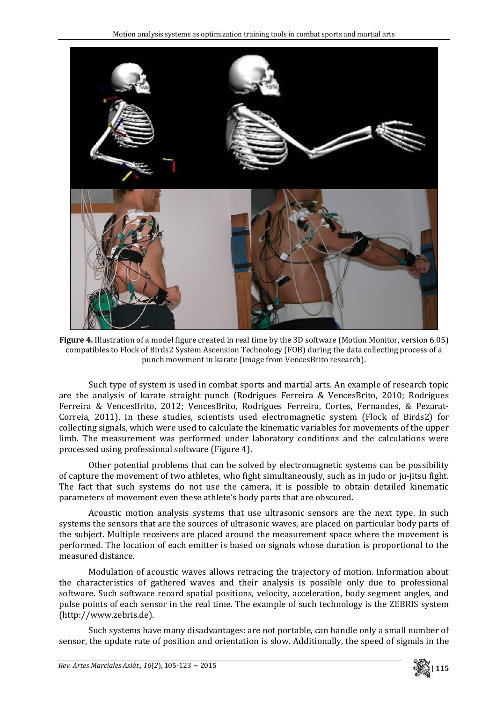

**Figure 4.** Illustration of a model figure created in real time by the 3D software (Motion Monitor, version 6.05) compatibles to Flock of Birds2 System Ascension Technology (FOB) during the data collecting process of a punch movement in karate (image from VencesBrito research).

Such type of system is used in combat sports and martial arts. An example of research topic are the analysis of karate straight punch (Rodrigues Ferreira & VencesBrito, 2010; Rodrigues Ferreira & VencesBrito, 2012; VencesBrito, Rodrigues Ferreira, Cortes, Fernandes, & Pezarat‐ Correia, 2011). In these studies, scientists used electromagnetic system (Flock of Birds2) for collecting signals, which were used to calculate the kinematic variables for movements of the upper limb. The measurement was performed under laboratory conditions and the calculations were processed using professional software (Figure 4).

Other potential problems that can be solved by electromagnetic systems can be possibility of capture the movement of two athletes, who fight simultaneously, such as in judo or ju‐jitsu fight. The fact that such systems do not use the camera, it is possible to obtain detailed kinematic parameters of movement even these athlete's body parts that are obscured.

Acoustic motion analysis systems that use ultrasonic sensors are the next type. In such systems the sensors that are the sources of ultrasonic waves, are placed on particular body parts of the subject. Multiple receivers are placed around the measurement space where the movement is performed. The location of each emitter is based on signals whose duration is proportional to the measured distance.

Modulation of acoustic waves allows retracing the trajectory of motion. Information about the characteristics of gathered waves and their analysis is possible only due to professional software. Such software record spatial positions, velocity, acceleration, body segment angles, and pulse points of each sensor in the real time. The example of such technology is the ZEBRIS system (http://www.zebris.de).

Such systems have many disadvantages: are not portable, can handle only a small number of sensor, the update rate of position and orientation is slow. Additionally, the speed of signals in the

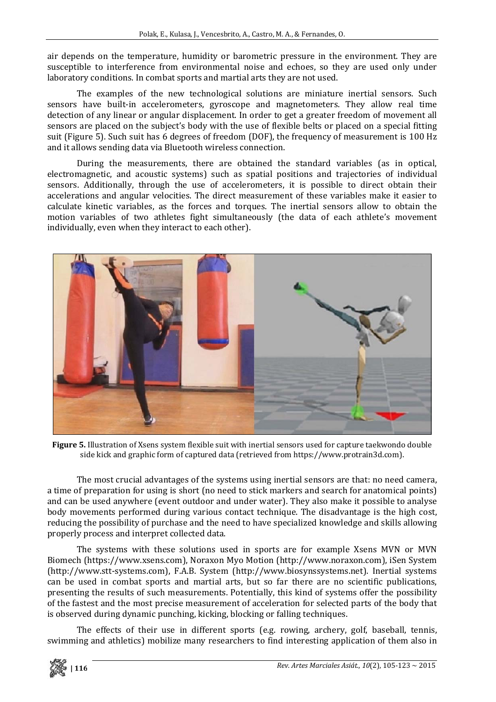air depends on the temperature, humidity or barometric pressure in the environment. They are susceptible to interference from environmental noise and echoes, so they are used only under laboratory conditions. In combat sports and martial arts they are not used.

The examples of the new technological solutions are miniature inertial sensors. Such sensors have built-in accelerometers, gyroscope and magnetometers. They allow real time detection of any linear or angular displacement. In order to get a greater freedom of movement all sensors are placed on the subject's body with the use of flexible belts or placed on a special fitting suit (Figure 5). Such suit has 6 degrees of freedom (DOF), the frequency of measurement is 100 Hz and it allows sending data via Bluetooth wireless connection.

During the measurements, there are obtained the standard variables (as in optical, electromagnetic, and acoustic systems) such as spatial positions and trajectories of individual sensors. Additionally, through the use of accelerometers, it is possible to direct obtain their accelerations and angular velocities. The direct measurement of these variables make it easier to calculate kinetic variables, as the forces and torques. The inertial sensors allow to obtain the motion variables of two athletes fight simultaneously (the data of each athlete's movement individually, even when they interact to each other).



**Figure 5.** Illustration of Xsens system flexible suit with inertial sensors used for capture taekwondo double side kick and graphic form of captured data (retrieved from https://www.protrain3d.com).

The most crucial advantages of the systems using inertial sensors are that: no need camera, a time of preparation for using is short (no need to stick markers and search for anatomical points) and can be used anywhere (event outdoor and under water). They also make it possible to analyse body movements performed during various contact technique. The disadvantage is the high cost, reducing the possibility of purchase and the need to have specialized knowledge and skills allowing properly process and interpret collected data.

The systems with these solutions used in sports are for example Xsens MVN or MVN Biomech (https://www.xsens.com), Noraxon Myo Motion (http://www.noraxon.com), iSen System (http://www.stt‐systems.com), F.A.B. System (http://www.biosynssystems.net). Inertial systems can be used in combat sports and martial arts, but so far there are no scientific publications, presenting the results of such measurements. Potentially, this kind of systems offer the possibility of the fastest and the most precise measurement of acceleration for selected parts of the body that is observed during dynamic punching, kicking, blocking or falling techniques.

The effects of their use in different sports (e.g. rowing, archery, golf, baseball, tennis, swimming and athletics) mobilize many researchers to find interesting application of them also in

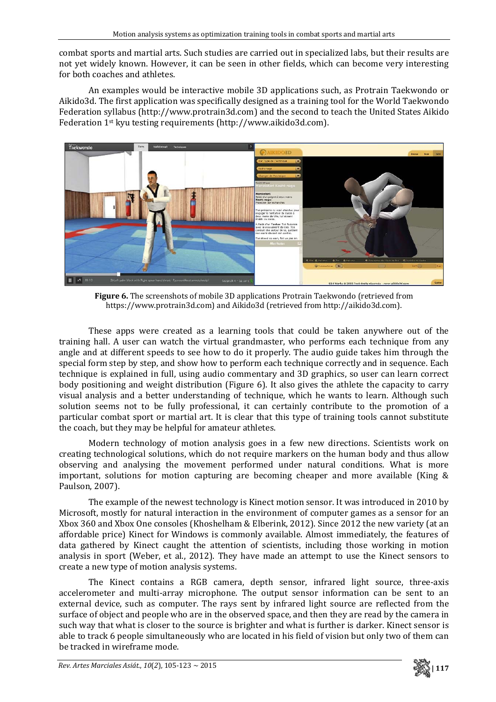combat sports and martial arts. Such studies are carried out in specialized labs, but their results are not yet widely known. However, it can be seen in other fields, which can become very interesting for both coaches and athletes.

An examples would be interactive mobile 3D applications such, as Protrain Taekwondo or Aikido3d. The first application was specifically designed as a training tool for the World Taekwondo Federation syllabus (http://www.protrain3d.com) and the second to teach the United States Aikido Federation 1st kyu testing requirements (http://www.aikido3d.com).



**Figure 6.** The screenshots of mobile 3D applications Protrain Taekwondo (retrieved from https://www.protrain3d.com) and Aikido3d (retrieved from http://aikido3d.com).

These apps were created as a learning tools that could be taken anywhere out of the training hall. A user can watch the virtual grandmaster, who performs each technique from any angle and at different speeds to see how to do it properly. The audio guide takes him through the special form step by step, and show how to perform each technique correctly and in sequence. Each technique is explained in full, using audio commentary and 3D graphics, so user can learn correct body positioning and weight distribution (Figure 6). It also gives the athlete the capacity to carry visual analysis and a better understanding of technique, which he wants to learn. Although such solution seems not to be fully professional, it can certainly contribute to the promotion of a particular combat sport or martial art. It is clear that this type of training tools cannot substitute the coach, but they may be helpful for amateur athletes.

Modern technology of motion analysis goes in a few new directions. Scientists work on creating technological solutions, which do not require markers on the human body and thus allow observing and analysing the movement performed under natural conditions. What is more important, solutions for motion capturing are becoming cheaper and more available (King & Paulson, 2007).

The example of the newest technology is Kinect motion sensor. It was introduced in 2010 by Microsoft, mostly for natural interaction in the environment of computer games as a sensor for an Xbox 360 and Xbox One consoles (Khoshelham & Elberink, 2012). Since 2012 the new variety (at an affordable price) Kinect for Windows is commonly available. Almost immediately, the features of data gathered by Kinect caught the attention of scientists, including those working in motion analysis in sport (Weber, et al., 2012). They have made an attempt to use the Kinect sensors to create a new type of motion analysis systems.

The Kinect contains a RGB camera, depth sensor, infrared light source, three-axis accelerometer and multi-array microphone. The output sensor information can be sent to an external device, such as computer. The rays sent by infrared light source are reflected from the surface of object and people who are in the observed space, and then they are read by the camera in such way that what is closer to the source is brighter and what is further is darker. Kinect sensor is able to track 6 people simultaneously who are located in his field of vision but only two of them can be tracked in wireframe mode.

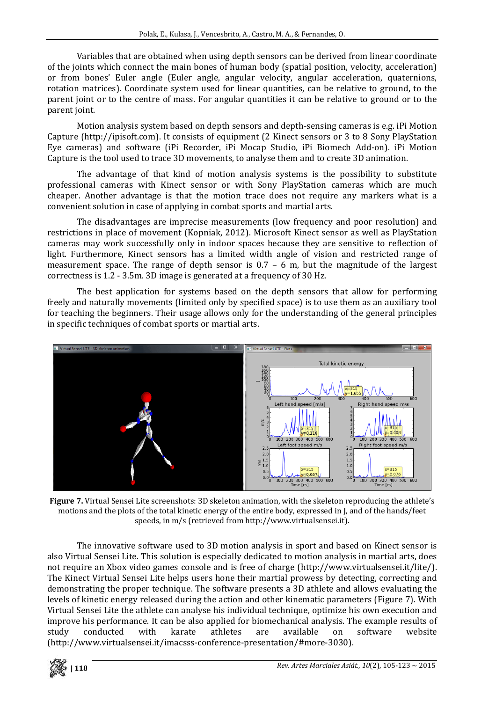Variables that are obtained when using depth sensors can be derived from linear coordinate of the joints which connect the main bones of human body (spatial position, velocity, acceleration) or from bones' Euler angle (Euler angle, angular velocity, angular acceleration, quaternions, rotation matrices). Coordinate system used for linear quantities, can be relative to ground, to the parent joint or to the centre of mass. For angular quantities it can be relative to ground or to the parent joint.

Motion analysis system based on depth sensors and depth‐sensing cameras is e.g. iPi Motion Capture (http://ipisoft.com). It consists of equipment (2 Kinect sensors or 3 to 8 Sony PlayStation Eye cameras) and software (iPi Recorder, iPi Mocap Studio, iPi Biomech Add‐on). iPi Motion Capture is the tool used to trace 3D movements, to analyse them and to create 3D animation.

The advantage of that kind of motion analysis systems is the possibility to substitute professional cameras with Kinect sensor or with Sony PlayStation cameras which are much cheaper. Another advantage is that the motion trace does not require any markers what is a convenient solution in case of applying in combat sports and martial arts.

The disadvantages are imprecise measurements (low frequency and poor resolution) and restrictions in place of movement (Kopniak, 2012). Microsoft Kinect sensor as well as PlayStation cameras may work successfully only in indoor spaces because they are sensitive to reflection of light. Furthermore, Kinect sensors has a limited width angle of vision and restricted range of measurement space. The range of depth sensor is  $0.7 - 6$  m, but the magnitude of the largest correctness is 1.2 ‐ 3.5m. 3D image is generated at a frequency of 30 Hz.

The best application for systems based on the depth sensors that allow for performing freely and naturally movements (limited only by specified space) is to use them as an auxiliary tool for teaching the beginners. Their usage allows only for the understanding of the general principles in specific techniques of combat sports or martial arts.



**Figure 7.** Virtual Sensei Lite screenshots: 3D skeleton animation, with the skeleton reproducing the athlete's motions and the plots of the total kinetic energy of the entire body, expressed in J, and of the hands/feet speeds, in m/s (retrieved from http://www.virtualsensei.it).

The innovative software used to 3D motion analysis in sport and based on Kinect sensor is also Virtual Sensei Lite. This solution is especially dedicated to motion analysis in martial arts, does not require an Xbox video games console and is free of charge (http://www.virtualsensei.it/lite/). The Kinect Virtual Sensei Lite helps users hone their martial prowess by detecting, correcting and demonstrating the proper technique. The software presents a 3D athlete and allows evaluating the levels of kinetic energy released during the action and other kinematic parameters (Figure 7). With Virtual Sensei Lite the athlete can analyse his individual technique, optimize his own execution and improve his performance. It can be also applied for biomechanical analysis. The example results of study conducted with karate athletes are available on software website (http://www.virtualsensei.it/imacsss‐conference‐presentation/#more‐3030).

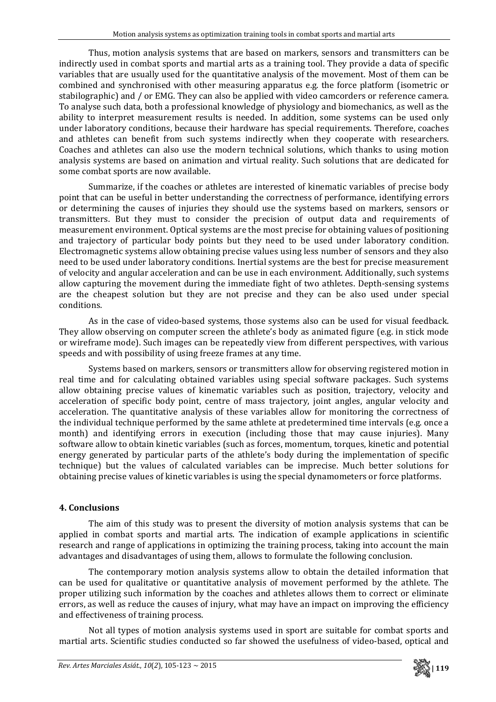Thus, motion analysis systems that are based on markers, sensors and transmitters can be indirectly used in combat sports and martial arts as a training tool. They provide a data of specific variables that are usually used for the quantitative analysis of the movement. Most of them can be combined and synchronised with other measuring apparatus e.g. the force platform (isometric or stabilographic) and / or EMG. They can also be applied with video camcorders or reference camera. To analyse such data, both a professional knowledge of physiology and biomechanics, as well as the ability to interpret measurement results is needed. In addition, some systems can be used only under laboratory conditions, because their hardware has special requirements. Therefore, coaches and athletes can benefit from such systems indirectly when they cooperate with researchers. Coaches and athletes can also use the modern technical solutions, which thanks to using motion analysis systems are based on animation and virtual reality. Such solutions that are dedicated for some combat sports are now available.

Summarize, if the coaches or athletes are interested of kinematic variables of precise body point that can be useful in better understanding the correctness of performance, identifying errors or determining the causes of injuries they should use the systems based on markers, sensors or transmitters. But they must to consider the precision of output data and requirements of measurement environment. Optical systems are the most precise for obtaining values of positioning and trajectory of particular body points but they need to be used under laboratory condition. Electromagnetic systems allow obtaining precise values using less number of sensors and they also need to be used under laboratory conditions. Inertial systems are the best for precise measurement of velocity and angular acceleration and can be use in each environment. Additionally, such systems allow capturing the movement during the immediate fight of two athletes. Depth-sensing systems are the cheapest solution but they are not precise and they can be also used under special conditions.

As in the case of video-based systems, those systems also can be used for visual feedback. They allow observing on computer screen the athlete's body as animated figure (e.g. in stick mode or wireframe mode). Such images can be repeatedly view from different perspectives, with various speeds and with possibility of using freeze frames at any time.

Systems based on markers, sensors or transmitters allow for observing registered motion in real time and for calculating obtained variables using special software packages. Such systems allow obtaining precise values of kinematic variables such as position, trajectory, velocity and acceleration of specific body point, centre of mass trajectory, joint angles, angular velocity and acceleration. The quantitative analysis of these variables allow for monitoring the correctness of the individual technique performed by the same athlete at predetermined time intervals (e.g. once a month) and identifying errors in execution (including those that may cause injuries). Many software allow to obtain kinetic variables (such as forces, momentum, torques, kinetic and potential energy generated by particular parts of the athlete's body during the implementation of specific technique) but the values of calculated variables can be imprecise. Much better solutions for obtaining precise values of kinetic variables is using the special dynamometers or force platforms.

# **4. Conclusions**

The aim of this study was to present the diversity of motion analysis systems that can be applied in combat sports and martial arts. The indication of example applications in scientific research and range of applications in optimizing the training process, taking into account the main advantages and disadvantages of using them, allows to formulate the following conclusion.

The contemporary motion analysis systems allow to obtain the detailed information that can be used for qualitative or quantitative analysis of movement performed by the athlete. The proper utilizing such information by the coaches and athletes allows them to correct or eliminate errors, as well as reduce the causes of injury, what may have an impact on improving the efficiency and effectiveness of training process.

Not all types of motion analysis systems used in sport are suitable for combat sports and martial arts. Scientific studies conducted so far showed the usefulness of video‐based, optical and

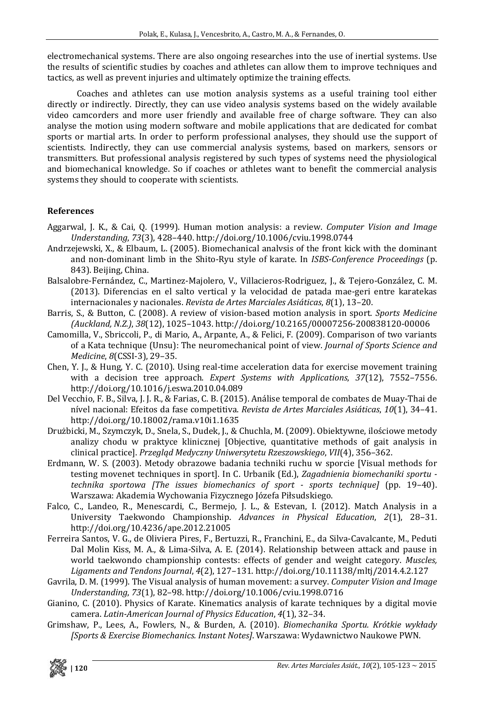electromechanical systems. There are also ongoing researches into the use of inertial systems. Use the results of scientific studies by coaches and athletes can allow them to improve techniques and tactics, as well as prevent injuries and ultimately optimize the training effects.

Coaches and athletes can use motion analysis systems as a useful training tool either directly or indirectly. Directly, they can use video analysis systems based on the widely available video camcorders and more user friendly and available free of charge software. They can also analyse the motion using modern software and mobile applications that are dedicated for combat sports or martial arts. In order to perform professional analyses, they should use the support of scientists. Indirectly, they can use commercial analysis systems, based on markers, sensors or transmitters. But professional analysis registered by such types of systems need the physiological and biomechanical knowledge. So if coaches or athletes want to benefit the commercial analysis systems they should to cooperate with scientists.

### **References**

- Aggarwal, J. K., & Cai, Q. (1999). Human motion analysis: a review. *Computer Vision and Image Understanding*, *73*(3), 428–440. http://doi.org/10.1006/cviu.1998.0744
- Andrzejewski, X., & Elbaum, L. (2005). Biomechanical analvsis of the front kick with the dominant and non‐dominant limb in the Shito‐Ryu style of karate. In *ISBSConference Proceedings* (p. 843). Beijing, China.
- Balsalobre‐Fernández, C., Martinez‐Majolero, V., Villacieros‐Rodriguez, J., & Tejero‐González, C. M. (2013). Diferencias en el salto vertical y la velocidad de patada mae‐geri entre karatekas internacionales y nacionales. *Revista de Artes Marciales Asiáticas*, *8*(1), 13–20.
- Barris, S., & Button, C. (2008). A review of vision‐based motion analysis in sport. *Sports Medicine (Auckland, N.Z.)*, *38*(12), 1025–1043. http://doi.org/10.2165/00007256‐200838120‐00006
- Camomilla, V., Sbriccoli, P., di Mario, A., Arpante, A., & Felici, F. (2009). Comparison of two variants of a Kata technique (Unsu): The neuromechanical point of view. *Journal of Sports Science and Medicine*, *8*(CSSI‐3), 29–35.
- Chen, Y. J., & Hung, Y. C. (2010). Using real‐time acceleration data for exercise movement training with a decision tree approach. *Expert Systems with Applications*, *37*(12), 7552–7556. http://doi.org/10.1016/j.eswa.2010.04.089
- Del Vecchio, F. B., Silva, J. J. R., & Farias, C. B. (2015). Análise temporal de combates de Muay‐Thai de nível nacional: Efeitos da fase competitiva. *Revista de Artes Marciales Asiáticas*, *10*(1), 34–41. http://doi.org/10.18002/rama.v10i1.1635
- Drużbicki, M., Szymczyk, D., Snela, S., Dudek, J., & Chuchla, M. (2009). Obiektywne, ilościowe metody analizy chodu w praktyce klinicznej [Objective, quantitative methods of gait analysis in clinical practice]. *Przegląd Medyczny Uniwersytetu Rzeszowskiego*, *VII*(4), 356–362.
- Erdmann, W. S. (2003). Metody obrazowe badania techniki ruchu w sporcie [Visual methods for testing movenet techniques in sport]. In C. Urbanik (Ed.), *Zagadnienia biomechaniki sportu technika sportowa [The issues biomechanics of sport sports technique]* (pp. 19–40). Warszawa: Akademia Wychowania Fizycznego Józefa Piłsudskiego.
- Falco, C., Landeo, R., Menescardi, C., Bermejo, J. L., & Estevan, I. (2012). Match Analysis in a University Taekwondo Championship. *Advances in Physical Education*, *2*(1), 28–31. http://doi.org/10.4236/ape.2012.21005
- Ferreira Santos, V. G., de Oliviera Pires, F., Bertuzzi, R., Franchini, E., da Silva‐Cavalcante, M., Peduti Dal Molin Kiss, M. A., & Lima-Silva, A. E. (2014). Relationship between attack and pause in world taekwondo championship contests: effects of gender and weight category. *Muscles, Ligaments and Tendons Journal*, *4*(2), 127–131. http://doi.org/10.11138/mltj/2014.4.2.127
- Gavrila, D. M. (1999). The Visual analysis of human movement: a survey. *Computer Vision and Image Understanding*, *73*(1), 82–98. http://doi.org/10.1006/cviu.1998.0716
- Gianino, C. (2010). Physics of Karate. Kinematics analysis of karate techniques by a digital movie camera. *LatinAmerican Journal of Physics Education*, *4*(1), 32–34.
- Grimshaw, P., Lees, A., Fowlers, N., & Burden, A. (2010). *Biomechanika Sportu. Krótkie wykłady [Sports & Exercise Biomechanics. Instant Notes]*. Warszawa: Wydawnictwo Naukowe PWN.

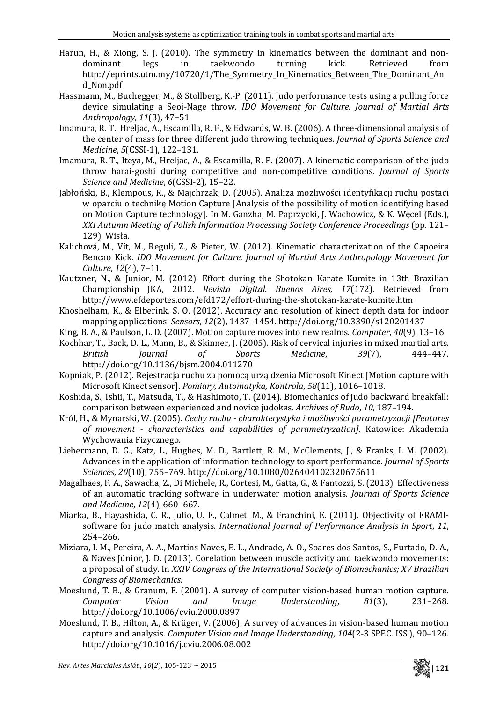- Harun, H., & Xiong, S. J. (2010). The symmetry in kinematics between the dominant and nondominant legs in taekwondo turning kick. Retrieved from http://eprints.utm.my/10720/1/The Symmetry In Kinematics Between The Dominant An d\_Non.pdf
- Hassmann, M., Buchegger, M., & Stollberg, K.‐P. (2011). Judo performance tests using a pulling force device simulating a Seoi‐Nage throw. *IDO Movement for Culture. Journal of Martial Arts Anthropology*, *11*(3), 47–51.
- Imamura, R. T., Hreljac, A., Escamilla, R. F., & Edwards, W. B. (2006). A three‐dimensional analysis of the center of mass for three different judo throwing techniques. *Journal of Sports Science and Medicine*, *5*(CSSI‐1), 122–131.
- Imamura, R. T., Iteya, M., Hreljac, A., & Escamilla, R. F. (2007). A kinematic comparison of the judo throw harai‐goshi during competitive and non‐competitive conditions. *Journal of Sports Science and Medicine*, *6*(CSSI‐2), 15–22.
- Jabłoński, B., Klempous, R., & Majchrzak, D. (2005). Analiza możliwości identyfikacji ruchu postaci w oparciu o technikę Motion Capture [Analysis of the possibility of motion identifying based on Motion Capture technology]. In M. Ganzha, M. Paprzycki, J. Wachowicz, & K. Węcel (Eds.), *XXI Autumn Meeting of Polish Information Processing Society Conference Proceedings* (pp. 121– 129). Wisła.
- Kalichová, M., Vít, M., Reguli, Z., & Pieter, W. (2012). Kinematic characterization of the Capoeira Bencao Kick. *IDO Movement for Culture. Journal of Martial Arts Anthropology Movement for Culture*, *12*(4), 7–11.
- Kautzner, N., & Junior, M. (2012). Effort during the Shotokan Karate Kumite in 13th Brazilian Championship JKA, 2012. *Revista Digital. Buenos Aires*, *17*(172). Retrieved from http://www.efdeportes.com/efd172/effort‐during‐the‐shotokan‐karate‐kumite.htm
- Khoshelham, K., & Elberink, S. O. (2012). Accuracy and resolution of kinect depth data for indoor mapping applications. *Sensors*, *12*(2), 1437–1454. http://doi.org/10.3390/s120201437
- King, B. A., & Paulson, L. D. (2007). Motion capture moves into new realms. *Computer*, *40*(9), 13–16.
- Kochhar, T., Back, D. L., Mann, B., & Skinner, J. (2005). Risk of cervical injuries in mixed martial arts. *British Journal of Sports Medicine*, *39*(7), 444–447. http://doi.org/10.1136/bjsm.2004.011270
- Kopniak, P. (2012). Rejestracja ruchu za pomocą urzą dzenia Microsoft Kinect [Motion capture with Microsoft Kinect sensor]. *Pomiary, Automatyka, Kontrola*, *58*(11), 1016–1018.
- Koshida, S., Ishii, T., Matsuda, T., & Hashimoto, T. (2014). Biomechanics of judo backward breakfall: comparison between experienced and novice judokas. *Archives of Budo*, *10*, 187–194.
- Król, H., & Mynarski, W. (2005). *Cechy ruchu charakterystyka i możliwości parametryzacji [Features of movement characteristics and capabilities of parametryzation]*. Katowice: Akademia Wychowania Fizycznego.
- Liebermann, D. G., Katz, L., Hughes, M. D., Bartlett, R. M., McClements, J., & Franks, I. M. (2002). Advances in the application of information technology to sport performance. *Journal of Sports Sciences*, *20*(10), 755–769. http://doi.org/10.1080/026404102320675611
- Magalhaes, F. A., Sawacha, Z., Di Michele, R., Cortesi, M., Gatta, G., & Fantozzi, S. (2013). Effectiveness of an automatic tracking software in underwater motion analysis. *Journal of Sports Science and Medicine*, *12*(4), 660–667.
- Miarka, B., Hayashida, C. R., Julio, U. F., Calmet, M., & Franchini, E. (2011). Objectivity of FRAMIsoftware for judo match analysis. *International Journal of Performance Analysis in Sport*, *11*, 254–266.
- Miziara, I. M., Pereira, A. A., Martins Naves, E. L., Andrade, A. O., Soares dos Santos, S., Furtado, D. A., & Naves Júnior, J. D. (2013). Corelation between muscle activity and taekwondo movements: a proposal of study. In *XXIV Congress of the International Society of Biomechanics; XV Brazilian Congress of Biomechanics*.
- Moeslund, T. B., & Granum, E. (2001). A survey of computer vision-based human motion capture. *Computer Vision and Image Understanding*, *81*(3), 231–268. http://doi.org/10.1006/cviu.2000.0897
- Moeslund, T. B., Hilton, A., & Krüger, V. (2006). A survey of advances in vision‐based human motion capture and analysis. *Computer Vision and Image Understanding*, *104*(2‐3 SPEC. ISS.), 90–126. http://doi.org/10.1016/j.cviu.2006.08.002

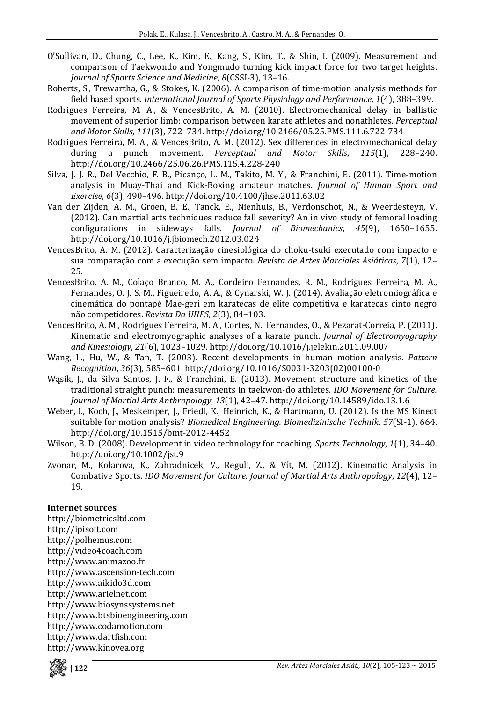- O'Sullivan, D., Chung, C., Lee, K., Kim, E., Kang, S., Kim, T., & Shin, I. (2009). Measurement and comparison of Taekwondo and Yongmudo turning kick impact force for two target heights. *Journal of Sports Science and Medicine*, *8*(CSSI‐3), 13–16.
- Roberts, S., Trewartha, G., & Stokes, K. (2006). A comparison of time‐motion analysis methods for field based sports. *International Journal of Sports Physiology and Performance*, *1*(4), 388–399.
- Rodrigues Ferreira, M. A., & VencesBrito, A. M. (2010). Electromechanical delay in ballistic movement of superior limb: comparison between karate athletes and nonathletes. *Perceptual and Motor Skills*, *111*(3), 722–734. http://doi.org/10.2466/05.25.PMS.111.6.722‐734
- Rodrigues Ferreira, M. A., & VencesBrito, A. M. (2012). Sex differences in electromechanical delay during a punch movement. *Perceptual and Motor Skills*, *115*(1), 228–240. http://doi.org/10.2466/25.06.26.PMS.115.4.228‐240
- Silva, J. J. R., Del Vecchio, F. B., Picanço, L. M., Takito, M. Y., & Franchini, E. (2011). Time-motion analysis in Muay‐Thai and Kick‐Boxing amateur matches. *Journal of Human Sport and Exercise*, *6*(3), 490–496. http://doi.org/10.4100/jhse.2011.63.02
- Van der Zijden, A. M., Groen, B. E., Tanck, E., Nienhuis, B., Verdonschot, N., & Weerdesteyn, V. (2012). Can martial arts techniques reduce fall severity? An in vivo study of femoral loading configurations in sideways falls. *Journal of Biomechanics*, *45*(9), 1650–1655. http://doi.org/10.1016/j.jbiomech.2012.03.024
- VencesBrito, A. M. (2012). Caracterização cinesiológica do choku‐tsuki executado com impacto e sua comparação com a execução sem impacto. *Revista de Artes Marciales Asiáticas*, *7*(1), 12– 25.
- VencesBrito, A. M., Colaço Branco, M. A., Cordeiro Fernandes, R. M., Rodrigues Ferreira, M. A., Fernandes, O. J. S. M., Figueiredo, A. A., & Cynarski, W. J. (2014). Avaliação eletromiográfica e cinemática do pontapé Mae‐geri em karatecas de elite competitiva e karatecas cinto negro não competidores. *Revista Da UIIPS*, *2*(3), 84–103.
- VencesBrito, A. M., Rodrigues Ferreira, M. A., Cortes, N., Fernandes, O., & Pezarat‐Correia, P. (2011). Kinematic and electromyographic analyses of a karate punch. *Journal of Electromyography and Kinesiology*, *21*(6), 1023–1029. http://doi.org/10.1016/j.jelekin.2011.09.007
- Wang, L., Hu, W., & Tan, T. (2003). Recent developments in human motion analysis. *Pattern Recognition*, *36*(3), 585–601. http://doi.org/10.1016/S0031‐3203(02)00100‐0
- Wasik, J., da Silva Santos, J. F., & Franchini, E. (2013). Movement structure and kinetics of the traditional straight punch: measurements in taekwon‐do athletes. *IDO Movement for Culture. Journal of Martial Arts Anthropology*, *13*(1), 42–47. http://doi.org/10.14589/ido.13.1.6
- Weber, I., Koch, J., Meskemper, J., Friedl, K., Heinrich, K., & Hartmann, U. (2012). Is the MS Kinect suitable for motion analysis? *Biomedical Engineering. Biomedizinische Technik*, *57*(SI‐1), 664. http://doi.org/10.1515/bmt‐2012‐4452
- Wilson, B. D. (2008). Development in video technology for coaching. *Sports Technology*, *1*(1), 34–40. http://doi.org/10.1002/jst.9
- Zvonar, M., Kolarova, K., Zahradnicek, V., Reguli, Z., & Vít, M. (2012). Kinematic Analysis in Combative Sports. *IDO Movement for Culture. Journal of Martial Arts Anthropology*, *12*(4), 12– 19.

### **Internet sources**

http://biometricsltd.com http://ipisoft.com http://polhemus.com http://video4coach.com http://www.animazoo.fr http://www.ascension‐tech.com http://www.aikido3d.com http://www.arielnet.com http://www.biosynssystems.net http://www.btsbioengineering.com http://www.codamotion.com http://www.dartfish.com http://www.kinovea.org